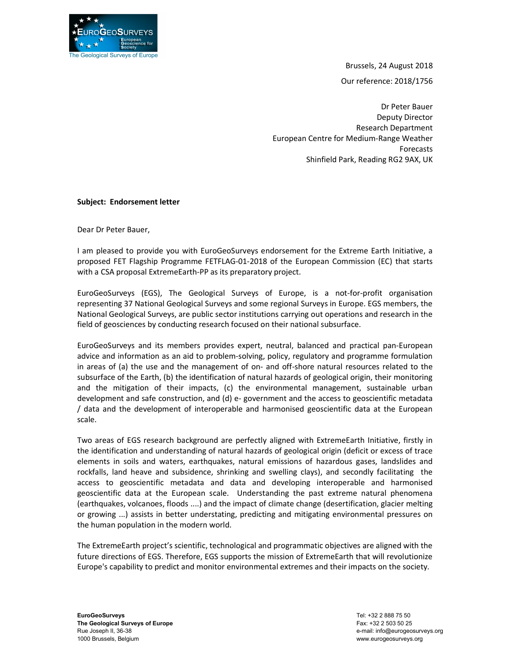

Brussels, 24 August 2018

Our reference: 2018/1756

Dr Peter Bauer Deputy Director Research Department European Centre for Medium‐Range Weather Forecasts Shinfield Park, Reading RG2 9AX, UK

## Subject: Endorsement letter

Dear Dr Peter Bauer,

I am pleased to provide you with EuroGeoSurveys endorsement for the Extreme Earth Initiative, a proposed FET Flagship Programme FETFLAG‐01‐2018 of the European Commission (EC) that starts with a CSA proposal ExtremeEarth-PP as its preparatory project.

EuroGeoSurveys (EGS), The Geological Surveys of Europe, is a not‐for‐profit organisation representing 37 National Geological Surveys and some regional Surveys in Europe. EGS members, the National Geological Surveys, are public sector institutions carrying out operations and research in the field of geosciences by conducting research focused on their national subsurface.

EuroGeoSurveys and its members provides expert, neutral, balanced and practical pan‐European advice and information as an aid to problem‐solving, policy, regulatory and programme formulation in areas of (a) the use and the management of on‐ and off‐shore natural resources related to the subsurface of the Earth, (b) the identification of natural hazards of geological origin, their monitoring and the mitigation of their impacts, (c) the environmental management, sustainable urban development and safe construction, and (d) e‐ government and the access to geoscientific metadata / data and the development of interoperable and harmonised geoscientific data at the European scale.

Two areas of EGS research background are perfectly aligned with ExtremeEarth Initiative, firstly in the identification and understanding of natural hazards of geological origin (deficit or excess of trace elements in soils and waters, earthquakes, natural emissions of hazardous gases, landslides and rockfalls, land heave and subsidence, shrinking and swelling clays), and secondly facilitating the access to geoscientific metadata and data and developing interoperable and harmonised geoscientific data at the European scale. Understanding the past extreme natural phenomena (earthquakes, volcanoes, floods ....) and the impact of climate change (desertification, glacier melting or growing ...) assists in better understating, predicting and mitigating environmental pressures on the human population in the modern world.

The ExtremeEarth project's scientific, technological and programmatic objectives are aligned with the future directions of EGS. Therefore, EGS supports the mission of ExtremeEarth that will revolutionize Europe's capability to predict and monitor environmental extremes and their impacts on the society.